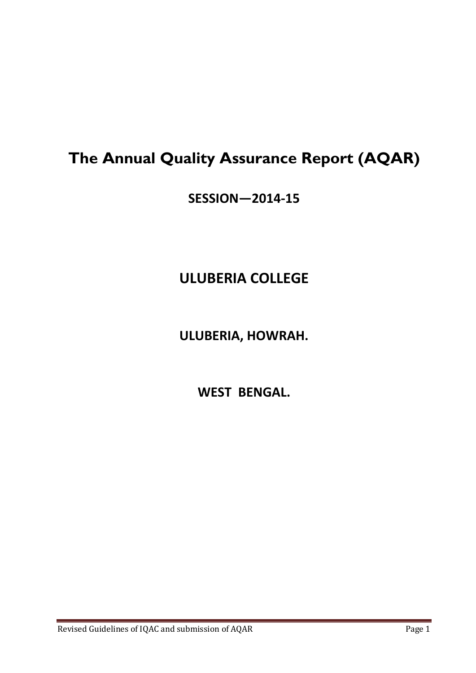# **The Annual Quality Assurance Report (AQAR)**

**SESSION—2014-15**

# **ULUBERIA COLLEGE**

**ULUBERIA, HOWRAH.**

**WEST BENGAL.**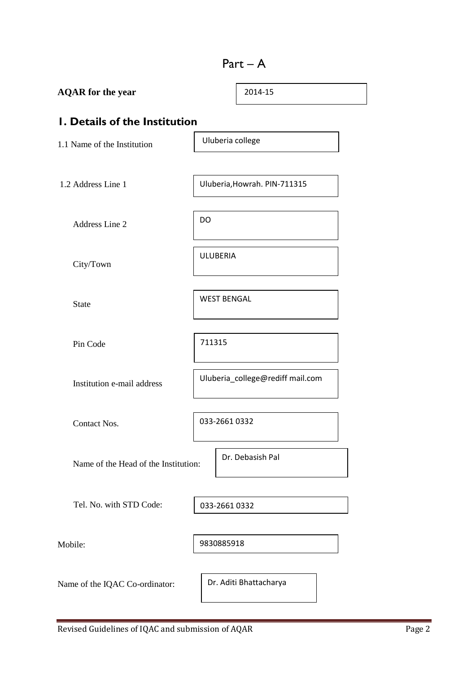# Part – A

| <b>AQAR</b> for the year             |                                  | 2014-15                      |  |  |
|--------------------------------------|----------------------------------|------------------------------|--|--|
| I. Details of the Institution        |                                  |                              |  |  |
| 1.1 Name of the Institution          | Uluberia college                 |                              |  |  |
|                                      |                                  |                              |  |  |
| 1.2 Address Line 1                   |                                  | Uluberia, Howrah. PIN-711315 |  |  |
| Address Line 2                       | DO                               |                              |  |  |
| City/Town                            | <b>ULUBERIA</b>                  |                              |  |  |
| <b>State</b>                         | <b>WEST BENGAL</b>               |                              |  |  |
| Pin Code                             | 711315                           |                              |  |  |
| Institution e-mail address           | Uluberia_college@rediff mail.com |                              |  |  |
| Contact Nos.                         | 033-2661 0332                    |                              |  |  |
| Name of the Head of the Institution: |                                  | Dr. Debasish Pal             |  |  |
| Tel. No. with STD Code:              | 033-2661 0332                    |                              |  |  |
| Mobile:                              | 9830885918                       |                              |  |  |
| Name of the IQAC Co-ordinator:       |                                  | Dr. Aditi Bhattacharya       |  |  |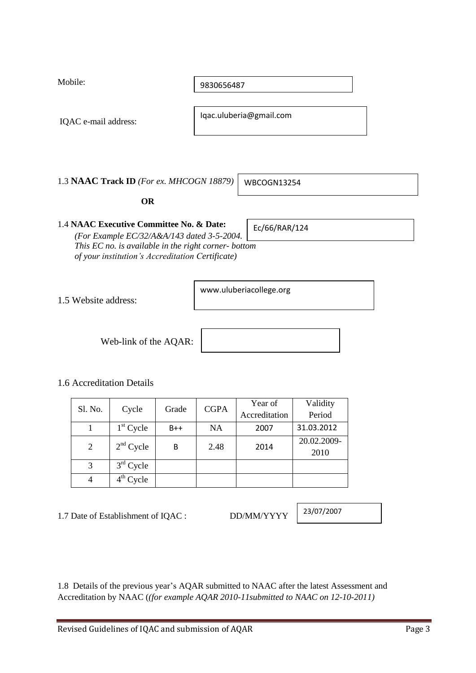| 1.5 Website address: |                                     |       |             | www.uluberiacollege.org  |                     |
|----------------------|-------------------------------------|-------|-------------|--------------------------|---------------------|
|                      | Web-link of the AQAR:               |       |             |                          |                     |
|                      | 1.6 Accreditation Details           |       |             |                          |                     |
| Sl. No.              | Cycle                               | Grade | <b>CGPA</b> | Year of<br>Accreditation | Validity<br>Period  |
| $\mathbf{1}$         | $1st$ Cycle                         | $B++$ | <b>NA</b>   | 2007                     | 31.03.2012          |
| $\overline{2}$       | $2nd$ Cycle                         | B     | 2.48        | 2014                     | 20.02.2009-<br>2010 |
| 3                    | 3rd Cycle                           |       |             |                          |                     |
| $\overline{4}$       | $4th$ Cycle                         |       |             |                          |                     |
|                      | 1.7 Date of Establishment of IQAC : |       |             | DD/MM/YYYY               | 23/07/2007          |
|                      |                                     |       |             |                          |                     |
|                      |                                     |       |             |                          |                     |

Iqac.uluberia@gmail.com

1.3 **NAAC Track ID** *(For ex. MHCOGN 18879)*

WBCOGN13254

# **OR**

1.4 **NAAC Executive Committee No. & Date:** *(For Example EC/32/A&A/143 dated 3-5-2004. This EC no. is available in the right corner- bottom* 

Mobile:

9830656487

IQAC e-mail address:

Ec/66/RAR/124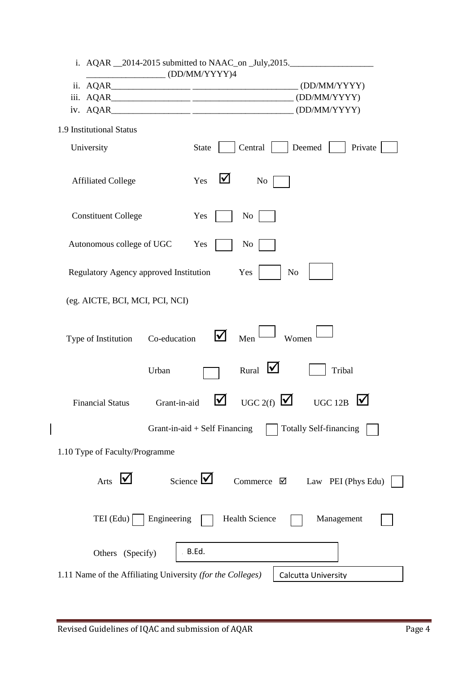| $\sqrt{\frac{1}{2}$ (DD/MM/YYYY)4                          | i. AQAR 2014-2015 submitted to NAAC_on _July, 2015.                        |
|------------------------------------------------------------|----------------------------------------------------------------------------|
|                                                            |                                                                            |
|                                                            |                                                                            |
|                                                            |                                                                            |
| 1.9 Institutional Status                                   |                                                                            |
| University                                                 | Central<br>Deemed<br><b>State</b><br>Private                               |
| <b>Affiliated College</b>                                  | Yes<br>⊻<br>N <sub>o</sub>                                                 |
| <b>Constituent College</b>                                 | Yes<br>N <sub>0</sub>                                                      |
| Autonomous college of UGC                                  | Yes<br>N <sub>o</sub>                                                      |
| Regulatory Agency approved Institution                     | N <sub>o</sub><br>Yes                                                      |
| (eg. AICTE, BCI, MCI, PCI, NCI)                            |                                                                            |
| Co-education<br>Type of Institution                        | M<br>Men<br>Women                                                          |
| Urban                                                      | ⊻<br>Rural<br>Tribal                                                       |
| Grant-in-aid<br><b>Financial Status</b>                    | UGC 2(f)<br>V<br><u>M</u><br><b>UGC 12B</b>                                |
|                                                            | Grant-in-aid $+$ Self Financing<br><b>Totally Self-financing</b>           |
| 1.10 Type of Faculty/Programme                             |                                                                            |
| Arts $\bigvee$                                             | Science $\sqrt{\phantom{a}}$<br>Commerce $\boxtimes$<br>Law PEI (Phys Edu) |
| Engineering<br>$TEI$ (Edu)                                 | <b>Health Science</b><br>Management                                        |
| Others (Specify)                                           | . B.Ed.                                                                    |
| 1.11 Name of the Affiliating University (for the Colleges) | Calcutta University                                                        |

 $\begin{array}{c} \hline \end{array}$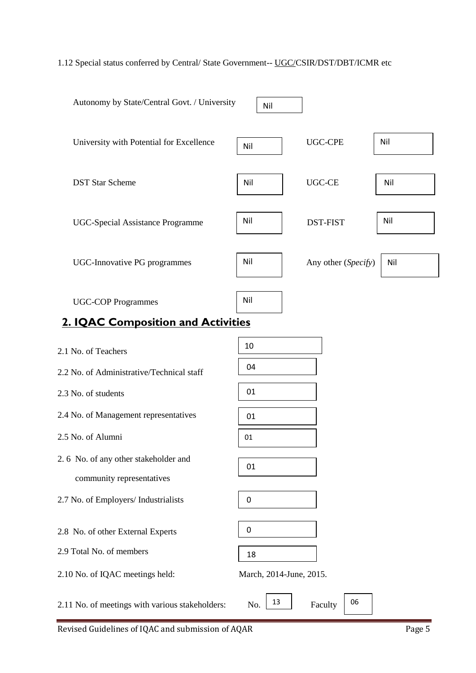# 1.12 Special status conferred by Central/ State Government-- UGC/CSIR/DST/DBT/ICMR etc

| Autonomy by State/Central Govt. / University                      | Nil                           |                     |     |
|-------------------------------------------------------------------|-------------------------------|---------------------|-----|
| University with Potential for Excellence                          | Nil                           | <b>UGC-CPE</b>      | Nil |
| <b>DST Star Scheme</b>                                            | Nil                           | <b>UGC-CE</b>       | Nil |
| <b>UGC-Special Assistance Programme</b>                           | Nil                           | <b>DST-FIST</b>     | Nil |
| <b>UGC-Innovative PG programmes</b>                               | Nil                           | Any other (Specify) | Nil |
| <b>UGC-COP Programmes</b>                                         | Nil                           |                     |     |
| <b>2. IQAC Composition and Activities</b>                         |                               |                     |     |
| 2.1 No. of Teachers                                               | 10                            |                     |     |
| 2.2 No. of Administrative/Technical staff                         | 04                            |                     |     |
| 2.3 No. of students                                               | 01                            |                     |     |
| 2.4 No. of Management representatives                             | 01                            |                     |     |
| 2.5 No. of Alumni                                                 | 01                            |                     |     |
| 2.6 No. of any other stakeholder and<br>community representatives | 01                            |                     |     |
| 2.7 No. of Employers/ Industrialists                              | 0                             |                     |     |
| 2.8 No. of other External Experts                                 | $\pmb{0}$                     |                     |     |
| 2.9 Total No. of members<br>2.10 No. of IQAC meetings held:       | 18<br>March, 2014-June, 2015. |                     |     |
| 2.11 No. of meetings with various stakeholders:                   | 13<br>No.                     | 06<br>Faculty       |     |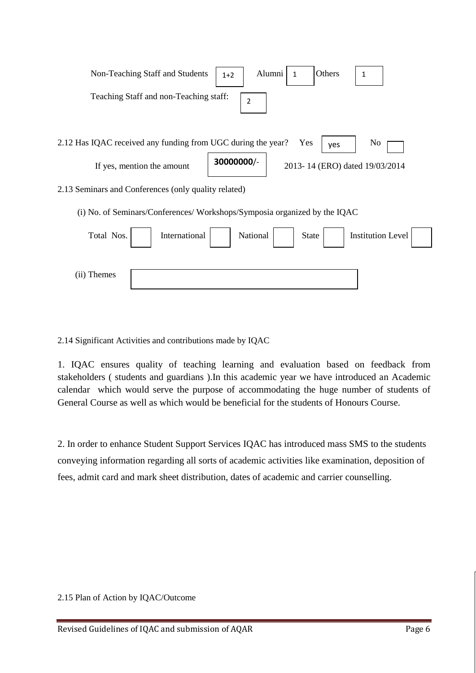| Non-Teaching Staff and Students                                          | $1+2$                                        | Alumni<br>$\mathbf{1}$ | Others | 1                        |  |  |
|--------------------------------------------------------------------------|----------------------------------------------|------------------------|--------|--------------------------|--|--|
| Teaching Staff and non-Teaching staff:<br>$\overline{2}$                 |                                              |                        |        |                          |  |  |
| 2.12 Has IQAC received any funding from UGC during the year?             |                                              | Yes                    | yes    | No                       |  |  |
| If yes, mention the amount                                               | 30000000/-<br>2013-14 (ERO) dated 19/03/2014 |                        |        |                          |  |  |
| 2.13 Seminars and Conferences (only quality related)                     |                                              |                        |        |                          |  |  |
| (i) No. of Seminars/Conferences/Workshops/Symposia organized by the IQAC |                                              |                        |        |                          |  |  |
| International<br>Total Nos.                                              | National                                     | <b>State</b>           |        | <b>Institution Level</b> |  |  |
| (ii) Themes                                                              |                                              |                        |        |                          |  |  |

2.14 Significant Activities and contributions made by IQAC

1. IQAC ensures quality of teaching learning and evaluation based on feedback from stakeholders ( students and guardians ).In this academic year we have introduced an Academic calendar which would serve the purpose of accommodating the huge number of students of General Course as well as which would be beneficial for the students of Honours Course.

2. In order to enhance Student Support Services IQAC has introduced mass SMS to the students conveying information regarding all sorts of academic activities like examination, deposition of fees, admit card and mark sheet distribution, dates of academic and carrier counselling.

2.15 Plan of Action by IQAC/Outcome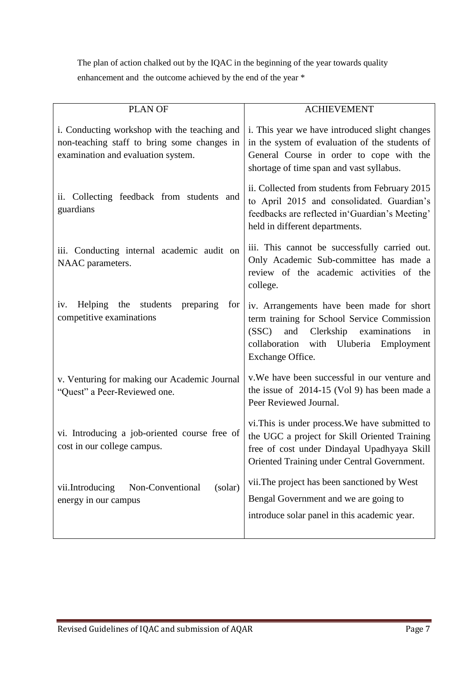The plan of action chalked out by the IQAC in the beginning of the year towards quality enhancement and the outcome achieved by the end of the year \*

| <b>PLAN OF</b>                                                                                                                    | <b>ACHIEVEMENT</b>                                                                                                                                                                                           |
|-----------------------------------------------------------------------------------------------------------------------------------|--------------------------------------------------------------------------------------------------------------------------------------------------------------------------------------------------------------|
| i. Conducting workshop with the teaching and<br>non-teaching staff to bring some changes in<br>examination and evaluation system. | i. This year we have introduced slight changes<br>in the system of evaluation of the students of<br>General Course in order to cope with the<br>shortage of time span and vast syllabus.                     |
| ii. Collecting feedback from students and<br>guardians                                                                            | ii. Collected from students from February 2015<br>to April 2015 and consolidated. Guardian's<br>feedbacks are reflected in 'Guardian's Meeting'<br>held in different departments.                            |
| iii. Conducting internal academic audit on<br>NAAC parameters.                                                                    | iii. This cannot be successfully carried out.<br>Only Academic Sub-committee has made a<br>review of the academic activities of the<br>college.                                                              |
| Helping the<br>students<br>preparing<br>for<br>iv.<br>competitive examinations                                                    | iv. Arrangements have been made for short<br>term training for School Service Commission<br>(SSC)<br>and<br>Clerkship<br>examinations<br>in<br>collaboration with Uluberia<br>Employment<br>Exchange Office. |
| v. Venturing for making our Academic Journal<br>"Quest" a Peer-Reviewed one.                                                      | v. We have been successful in our venture and<br>the issue of $2014-15$ (Vol 9) has been made a<br>Peer Reviewed Journal.                                                                                    |
| vi. Introducing a job-oriented course free of<br>cost in our college campus.                                                      | vi. This is under process. We have submitted to<br>the UGC a project for Skill Oriented Training<br>free of cost under Dindayal Upadhyaya Skill<br>Oriented Training under Central Government.               |
| vii.Introducing<br>Non-Conventional<br>(solar)<br>energy in our campus                                                            | vii. The project has been sanctioned by West<br>Bengal Government and we are going to<br>introduce solar panel in this academic year.                                                                        |
|                                                                                                                                   |                                                                                                                                                                                                              |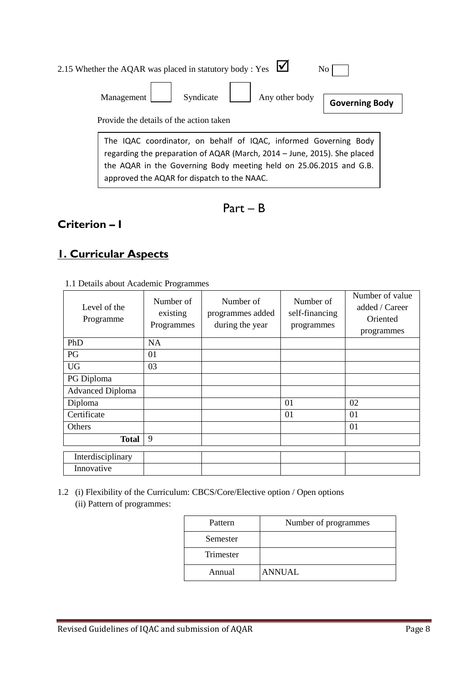| 2.15 Whether the AQAR was placed in statutory body : Yes $\blacksquare$                                                                                                                                                                                           | No.            |
|-------------------------------------------------------------------------------------------------------------------------------------------------------------------------------------------------------------------------------------------------------------------|----------------|
| Syndicate<br>Any other body<br>Management                                                                                                                                                                                                                         | Governing Body |
| Provide the details of the action taken                                                                                                                                                                                                                           |                |
| The IQAC coordinator, on behalf of IQAC, informed Governing Body<br>regarding the preparation of AQAR (March, 2014 - June, 2015). She placed<br>the AQAR in the Governing Body meeting held on 25.06.2015 and G.B.<br>approved the AQAR for dispatch to the NAAC. |                |

| ш<br>аг | n. |
|---------|----|
|---------|----|

# **Criterion – I**

# **1. Curricular Aspects**

| Level of the<br>Programme | Number of<br>existing<br>Programmes | Number of<br>programmes added<br>during the year | Number of<br>self-financing<br>programmes | Number of value<br>added / Career<br>Oriented<br>programmes |
|---------------------------|-------------------------------------|--------------------------------------------------|-------------------------------------------|-------------------------------------------------------------|
| PhD                       | <b>NA</b>                           |                                                  |                                           |                                                             |
| PG                        | 01                                  |                                                  |                                           |                                                             |
| <b>UG</b>                 | 03                                  |                                                  |                                           |                                                             |
| PG Diploma                |                                     |                                                  |                                           |                                                             |
| <b>Advanced Diploma</b>   |                                     |                                                  |                                           |                                                             |
| Diploma                   |                                     |                                                  | 01                                        | 02                                                          |
| Certificate               |                                     |                                                  | 01                                        | 01                                                          |
| <b>Others</b>             |                                     |                                                  |                                           | 01                                                          |
| <b>Total</b>              | 9                                   |                                                  |                                           |                                                             |
| Interdisciplinary         |                                     |                                                  |                                           |                                                             |
| Innovative                |                                     |                                                  |                                           |                                                             |

1.2 (i) Flexibility of the Curriculum: CBCS/Core/Elective option / Open options (ii) Pattern of programmes:

| Pattern   | Number of programmes |
|-----------|----------------------|
| Semester  |                      |
| Trimester |                      |
| Annual    | <b>ANNUAL</b>        |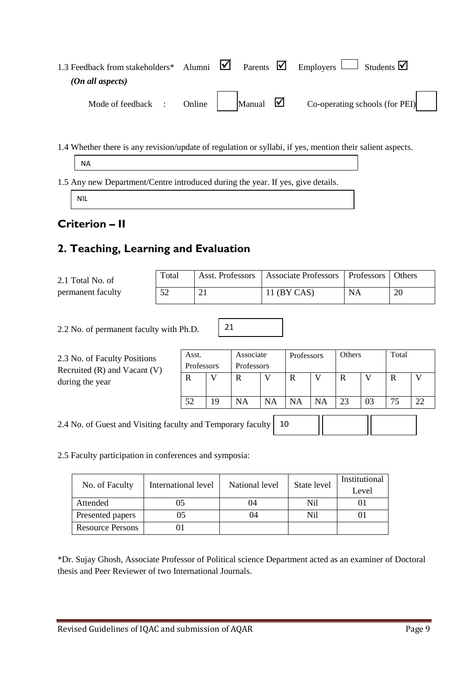| 1.3 Feedback from stakeholders* Alumni $\boxtimes$ Parents $\boxtimes$ Employers $\Box$ Students $\boxtimes$ |        |        |   |                                |
|--------------------------------------------------------------------------------------------------------------|--------|--------|---|--------------------------------|
| (On all aspects)                                                                                             |        |        |   |                                |
| Mode of feedback .                                                                                           | Online | Manual | M | Co-operating schools (for PEI) |

1.4 Whether there is any revision/update of regulation or syllabi, if yes, mention their salient aspects.

|--|

1.5 Any new Department/Centre introduced during the year. If yes, give details.

NIL

# **Criterion – II**

# **2. Teaching, Learning and Evaluation**

| 2.1 Total No. of  | Total |   | Asst. Professors   Associate Professors   Professors   Others |    |    |
|-------------------|-------|---|---------------------------------------------------------------|----|----|
| permanent faculty |       | ◢ | 11 (BY CAS)                                                   | NA | 20 |

21

2.2 No. of permanent faculty with Ph.D.

| 2.3 No. of Faculty Positions<br>Recruited $(R)$ and Vacant $(V)$<br>during the year | Asst.<br><b>Professors</b> |    | Associate<br><b>Professors</b> |           | <b>Professors</b> |           | <b>Others</b> |    | Total |    |
|-------------------------------------------------------------------------------------|----------------------------|----|--------------------------------|-----------|-------------------|-----------|---------------|----|-------|----|
|                                                                                     | R                          | V  | R                              |           | R                 |           | R             |    | R     |    |
|                                                                                     | 52                         | 19 | <b>NA</b>                      | <b>NA</b> | <b>NA</b>         | <b>NA</b> | 23            | 03 | 75    | 22 |
| 2.4 No. of Guest and Visiting faculty and Temporary faculty<br>10                   |                            |    |                                |           |                   |           |               |    |       |    |

2.5 Faculty participation in conferences and symposia:

|                         | International level | National level | State level | Institutional |
|-------------------------|---------------------|----------------|-------------|---------------|
| No. of Faculty          |                     |                |             | Level         |
| Attended                | 05                  | 04             | Nil         |               |
| Presented papers        | 05                  | )4             | Nil         |               |
| <b>Resource Persons</b> |                     |                |             |               |

\*Dr. Sujay Ghosh, Associate Professor of Political science Department acted as an examiner of Doctoral thesis and Peer Reviewer of two International Journals.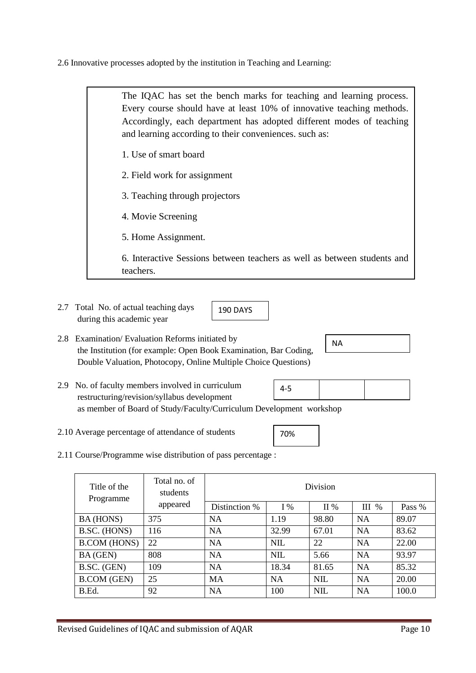2.6 Innovative processes adopted by the institution in Teaching and Learning:

2.7 Total No. of actual teaching days during this academic year 2.8 Examination/ Evaluation Reforms initiated by the Institution (for example: Open Book Examination, Bar Coding, Double Valuation, Photocopy, Online Multiple Choice Questions) Every course should have at least 10% of innovative teaching methods. Accordingly, each department has adopted different modes of teaching and learning according to their conveniences. such as: 1. Use of smart board 2. Field work for assignment 3. Teaching through projectors 4. Movie Screening 5. Home Assignment. 6. Interactive Sessions between teachers as well as between students and teachers. 190 DAYS NA

The IQAC has set the bench marks for teaching and learning process.

- 2.9 No. of faculty members involved in curriculum restructuring/revision/syllabus development as member of Board of Study/Faculty/Curriculum Development workshop 4-5
- 2.10 Average percentage of attendance of students
- 2.11 Course/Programme wise distribution of pass percentage :

| Title of the<br>Programme | Total no. of<br>students | Division      |            |            |           |        |
|---------------------------|--------------------------|---------------|------------|------------|-----------|--------|
|                           | appeared                 | Distinction % | $I\%$      | II %       | $III$ %   | Pass % |
| BA (HONS)                 | 375                      | <b>NA</b>     | 1.19       | 98.80      | <b>NA</b> | 89.07  |
| B.SC. (HONS)              | 116                      | <b>NA</b>     | 32.99      | 67.01      | <b>NA</b> | 83.62  |
| <b>B.COM</b> (HONS)       | 22                       | <b>NA</b>     | <b>NIL</b> | 22         | NA        | 22.00  |
| BA (GEN)                  | 808                      | <b>NA</b>     | <b>NIL</b> | 5.66       | <b>NA</b> | 93.97  |
| B.SC. (GEN)               | 109                      | <b>NA</b>     | 18.34      | 81.65      | <b>NA</b> | 85.32  |
| <b>B.COM</b> (GEN)        | 25                       | <b>MA</b>     | <b>NA</b>  | <b>NIL</b> | <b>NA</b> | 20.00  |
| B.Ed.                     | 92                       | <b>NA</b>     | 100        | <b>NIL</b> | <b>NA</b> | 100.0  |

70%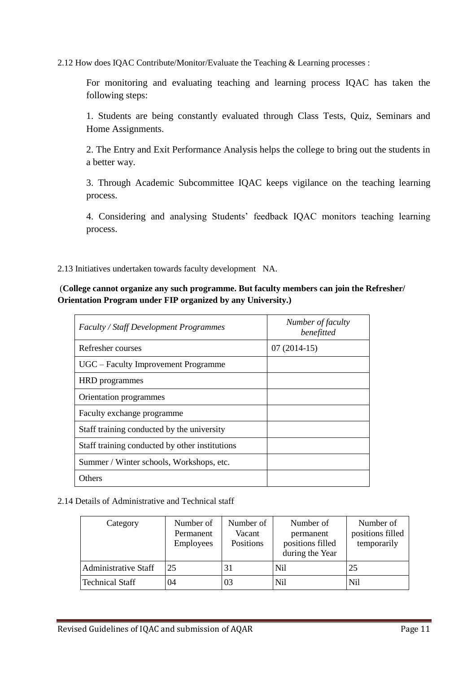2.12 How does IQAC Contribute/Monitor/Evaluate the Teaching & Learning processes :

For monitoring and evaluating teaching and learning process IQAC has taken the following steps:

1. Students are being constantly evaluated through Class Tests, Quiz, Seminars and Home Assignments.

2. The Entry and Exit Performance Analysis helps the college to bring out the students in a better way.

3. Through Academic Subcommittee IQAC keeps vigilance on the teaching learning process.

4. Considering and analysing Students' feedback IQAC monitors teaching learning process.

2.13 Initiatives undertaken towards faculty development NA.

(**College cannot organize any such programme. But faculty members can join the Refresher/ Orientation Program under FIP organized by any University.)**

| <b>Faculty / Staff Development Programmes</b>  | Number of faculty<br>benefitted |
|------------------------------------------------|---------------------------------|
| Refresher courses                              | $07(2014-15)$                   |
| UGC – Faculty Improvement Programme            |                                 |
| HRD programmes                                 |                                 |
| Orientation programmes                         |                                 |
| Faculty exchange programme                     |                                 |
| Staff training conducted by the university     |                                 |
| Staff training conducted by other institutions |                                 |
| Summer / Winter schools, Workshops, etc.       |                                 |
| Others                                         |                                 |

2.14 Details of Administrative and Technical staff

| Category                    | Number of<br>Permanent<br>Employees | Number of<br>Vacant<br>Positions | Number of<br>permanent<br>positions filled<br>during the Year | Number of<br>positions filled<br>temporarily |
|-----------------------------|-------------------------------------|----------------------------------|---------------------------------------------------------------|----------------------------------------------|
| <b>Administrative Staff</b> | 25                                  | 31                               | Nil                                                           | 25                                           |
| <b>Technical Staff</b>      | 04                                  | 03                               | Nil                                                           | Nil                                          |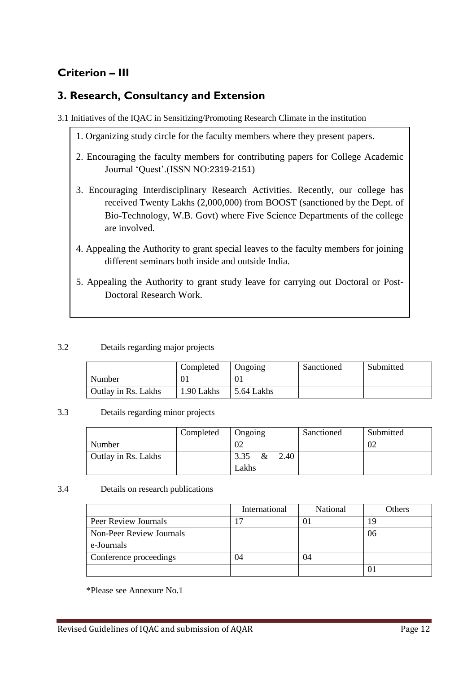# **Criterion – III**

# **3. Research, Consultancy and Extension**

- 3.1 Initiatives of the IQAC in Sensitizing/Promoting Research Climate in the institution
	- 1. Organizing study circle for the faculty members where they present papers.
	- 2. Encouraging the faculty members for contributing papers for College Academic Journal ‗Quest'.(ISSN NO:2319-2151)
	- 3. Encouraging Interdisciplinary Research Activities. Recently, our college has received Twenty Lakhs (2,000,000) from BOOST (sanctioned by the Dept. of Bio-Technology, W.B. Govt) where Five Science Departments of the college are involved.
	- 4. Appealing the Authority to grant special leaves to the faculty members for joining different seminars both inside and outside India.
	- 5. Appealing the Authority to grant study leave for carrying out Doctoral or Post-Doctoral Research Work.

# 3.2 Details regarding major projects

|                     | Completed  | Ongoing    | Sanctioned | Submitted |
|---------------------|------------|------------|------------|-----------|
| Number              |            |            |            |           |
| Outlay in Rs. Lakhs | 1.90 Lakhs | 5.64 Lakhs |            |           |

#### 3.3 Details regarding minor projects

|                     | Completed | Ongoing           | Sanctioned | Submitted |
|---------------------|-----------|-------------------|------------|-----------|
| Number              |           | 02                |            | -02       |
| Outlay in Rs. Lakhs |           | 2.40<br>3.35 $\&$ |            |           |
|                     |           | Lakhs             |            |           |

#### 3.4 Details on research publications

|                          | International | <b>National</b> | Others |
|--------------------------|---------------|-----------------|--------|
| Peer Review Journals     |               |                 |        |
| Non-Peer Review Journals |               |                 | 06     |
| e-Journals               |               |                 |        |
| Conference proceedings   | 04            | 04              |        |
|                          |               |                 |        |

\*Please see Annexure No.1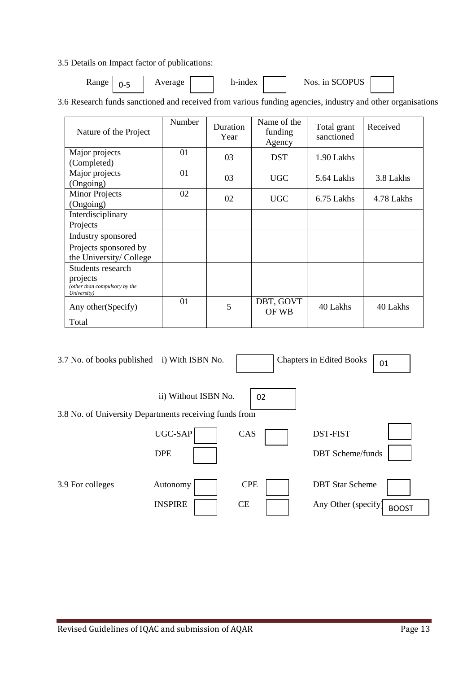3.5 Details on Impact factor of publications:

| <b>Range</b> | .<br>- | verage | h-index | <b>IDITC</b><br>Nos<br>י ש<br>1n<br>ഄഄ |  |  |
|--------------|--------|--------|---------|----------------------------------------|--|--|
|--------------|--------|--------|---------|----------------------------------------|--|--|

3.6 Research funds sanctioned and received from various funding agencies, industry and other organisations

| Nature of the Project                                                         | Number | Duration<br>Year | Name of the<br>funding<br>Agency | Total grant<br>sanctioned | Received   |
|-------------------------------------------------------------------------------|--------|------------------|----------------------------------|---------------------------|------------|
| Major projects<br>(Completed)                                                 | 01     | 03               | <b>DST</b>                       | 1.90 Lakhs                |            |
| Major projects<br>(Ongoing)                                                   | 01     | 03               | <b>UGC</b>                       | 5.64 Lakhs                | 3.8 Lakhs  |
| <b>Minor Projects</b><br>(Ongoing)                                            | 02     | 02               | <b>UGC</b>                       | 6.75 Lakhs                | 4.78 Lakhs |
| Interdisciplinary<br>Projects                                                 |        |                  |                                  |                           |            |
| Industry sponsored                                                            |        |                  |                                  |                           |            |
| Projects sponsored by<br>the University/College                               |        |                  |                                  |                           |            |
| Students research<br>projects<br>(other than compulsory by the<br>University) |        |                  |                                  |                           |            |
| Any other (Specify)                                                           | 01     | 5                | DBT, GOVT<br>OF WB               | 40 Lakhs                  | 40 Lakhs   |
| Total                                                                         |        |                  |                                  |                           |            |

| 3.7 No. of books published i) With ISBN No.            |                       |            | <b>Chapters in Edited Books</b>            | 01           |
|--------------------------------------------------------|-----------------------|------------|--------------------------------------------|--------------|
| 3.8 No. of University Departments receiving funds from | ii) Without ISBN No.  | 02         |                                            |              |
|                                                        | UGC-SAP<br><b>DPE</b> | CAS        | <b>DST-FIST</b><br><b>DBT</b> Scheme/funds |              |
| 3.9 For colleges                                       | Autonomy              | <b>CPE</b> | <b>DBT</b> Star Scheme                     |              |
|                                                        | <b>INSPIRE</b>        | <b>CE</b>  | Any Other (specify)                        | <b>BOOST</b> |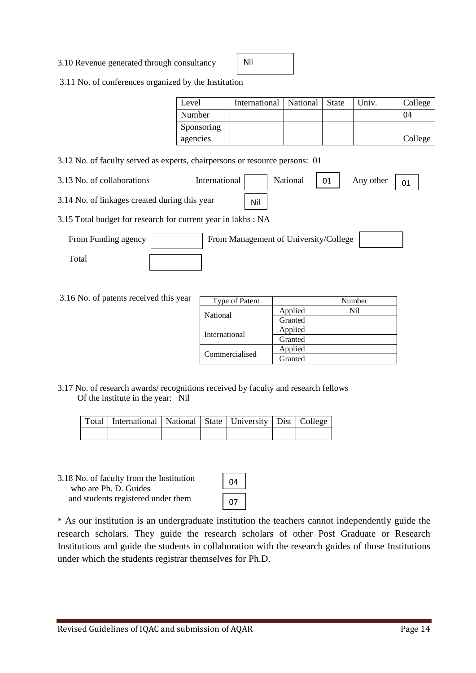3.10 Revenue generated through consultancy

Nil

3.11 No. of conferences organized by the Institution

| Level      | International   National   State |  | Univ. | College |
|------------|----------------------------------|--|-------|---------|
| Number     |                                  |  |       | 04      |
| Sponsoring |                                  |  |       |         |
| agencies   |                                  |  |       | College |

- 3.12 No. of faculty served as experts, chairpersons or resource persons: 01
- 3.13 No. of collaborations International National 01 Any other  $\begin{array}{|c|c|}$  01

Nil

- 3.14 No. of linkages created during this year
- 3.15 Total budget for research for current year in lakhs : NA

| From Funding agency | From Management of University/College |  |
|---------------------|---------------------------------------|--|
| `otal               |                                       |  |

3.16 No. of patents received this year

| Type of Patent |         | Number |
|----------------|---------|--------|
| National       | Applied | Ni1    |
|                | Granted |        |
| International  | Applied |        |
|                | Granted |        |
|                | Applied |        |
| Commercialised | Granted |        |

3.17 No. of research awards/ recognitions received by faculty and research fellows Of the institute in the year: Nil

| Total   International   National   State   University   Dist   College |  |  |  |
|------------------------------------------------------------------------|--|--|--|
|                                                                        |  |  |  |

3.18 No. of faculty from the Institution who are Ph. D. Guides and students registered under them

| 4 |
|---|
| 7 |

\* As our institution is an undergraduate institution the teachers cannot independently guide the research scholars. They guide the research scholars of other Post Graduate or Research Institutions and guide the students in collaboration with the research guides of those Institutions under which the students registrar themselves for Ph.D.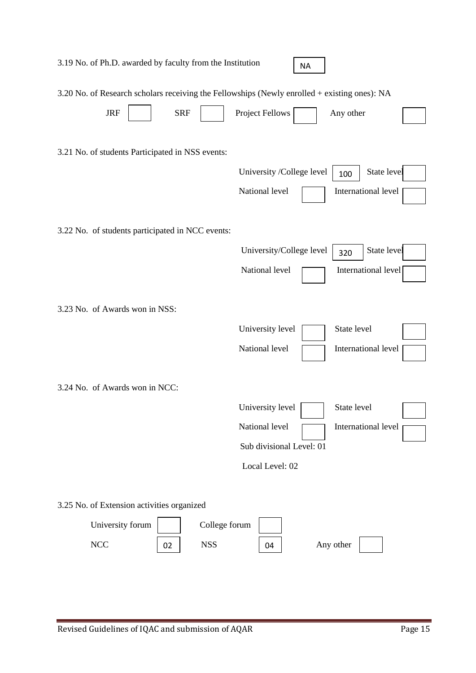|                                                                             | 3.19 No. of Ph.D. awarded by faculty from the Institution                                                  |                                                                                   | <b>NA</b> |                                           |  |
|-----------------------------------------------------------------------------|------------------------------------------------------------------------------------------------------------|-----------------------------------------------------------------------------------|-----------|-------------------------------------------|--|
| <b>JRF</b>                                                                  | 3.20 No. of Research scholars receiving the Fellowships (Newly enrolled + existing ones): NA<br><b>SRF</b> | <b>Project Fellows</b>                                                            |           | Any other                                 |  |
| 3.21 No. of students Participated in NSS events:                            |                                                                                                            | University /College level<br>National level                                       |           | State level<br>100<br>International level |  |
|                                                                             | 3.22 No. of students participated in NCC events:                                                           |                                                                                   |           |                                           |  |
|                                                                             |                                                                                                            | University/College level<br>National level                                        |           | State level<br>320<br>International level |  |
| 3.23 No. of Awards won in NSS:                                              |                                                                                                            |                                                                                   |           |                                           |  |
|                                                                             |                                                                                                            | University level<br>National level                                                |           | State level<br>International level        |  |
| 3.24 No. of Awards won in NCC:                                              |                                                                                                            |                                                                                   |           |                                           |  |
|                                                                             |                                                                                                            | University level<br>National level<br>Sub divisional Level: 01<br>Local Level: 02 |           | State level<br>International level        |  |
|                                                                             |                                                                                                            |                                                                                   |           |                                           |  |
| 3.25 No. of Extension activities organized<br>University forum<br>$\rm NCC$ | College forum<br><b>NSS</b><br>02                                                                          | 04                                                                                |           | Any other                                 |  |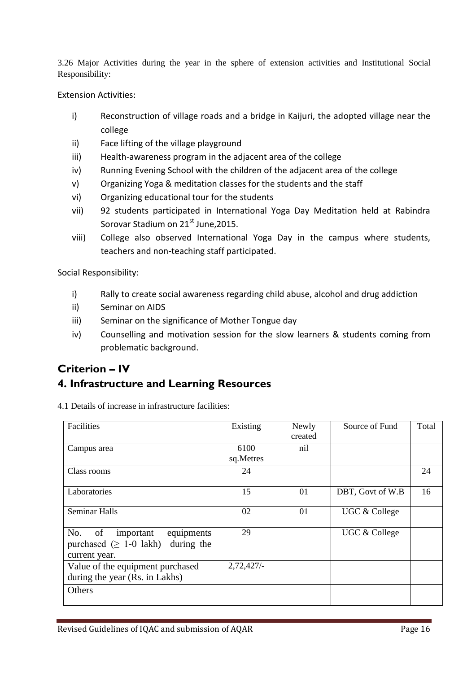3.26 Major Activities during the year in the sphere of extension activities and Institutional Social Responsibility:

Extension Activities:

- i) Reconstruction of village roads and a bridge in Kaijuri, the adopted village near the college
- ii) Face lifting of the village playground
- iii) Health-awareness program in the adjacent area of the college
- iv) Running Evening School with the children of the adjacent area of the college
- v) Organizing Yoga & meditation classes for the students and the staff
- vi) Organizing educational tour for the students
- vii) 92 students participated in International Yoga Day Meditation held at Rabindra Sorovar Stadium on 21<sup>st</sup> June, 2015.
- viii) College also observed International Yoga Day in the campus where students, teachers and non-teaching staff participated.

Social Responsibility:

- i) Rally to create social awareness regarding child abuse, alcohol and drug addiction
- ii) Seminar on AIDS
- iii) Seminar on the significance of Mother Tongue day
- iv) Counselling and motivation session for the slow learners & students coming from problematic background.

# **Criterion – IV**

# **4. Infrastructure and Learning Resources**

4.1 Details of increase in infrastructure facilities:

| Facilities                                                                                          | Existing          | Newly<br>created | Source of Fund   | Total |
|-----------------------------------------------------------------------------------------------------|-------------------|------------------|------------------|-------|
| Campus area                                                                                         | 6100<br>sq.Metres | nil              |                  |       |
| Class rooms                                                                                         | 24                |                  |                  | 24    |
| Laboratories                                                                                        | 15                | 01               | DBT, Govt of W.B | 16    |
| <b>Seminar Halls</b>                                                                                | 02                | 01               | UGC & College    |       |
| No.<br>of<br>equipments<br>important<br>purchased $(\geq 1$ -0 lakh)<br>during the<br>current year. | 29                |                  | UGC & College    |       |
| Value of the equipment purchased<br>during the year (Rs. in Lakhs)                                  | 2,72,427/         |                  |                  |       |
| Others                                                                                              |                   |                  |                  |       |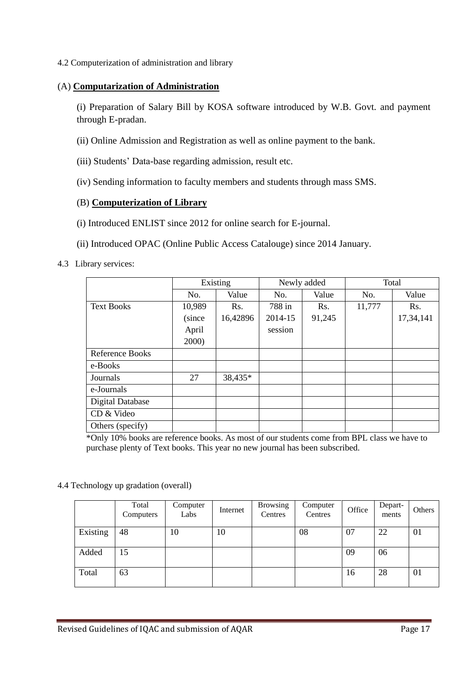4.2 Computerization of administration and library

# (A) **Computarization of Administration**

(i) Preparation of Salary Bill by KOSA software introduced by W.B. Govt. and payment through E-pradan.

- (ii) Online Admission and Registration as well as online payment to the bank.
- (iii) Students' Data-base regarding admission, result etc.
- (iv) Sending information to faculty members and students through mass SMS.

# (B) **Computerization of Library**

- (i) Introduced ENLIST since 2012 for online search for E-journal.
- (ii) Introduced OPAC (Online Public Access Catalouge) since 2014 January.

# 4.3 Library services:

|                         | Existing |          |         | Newly added | Total  |           |  |
|-------------------------|----------|----------|---------|-------------|--------|-----------|--|
|                         | No.      | Value    | No.     | Value       | No.    | Value     |  |
| <b>Text Books</b>       | 10,989   | Rs.      | 788 in  | Rs.         | 11,777 | Rs.       |  |
|                         | (since   | 16,42896 | 2014-15 | 91,245      |        | 17,34,141 |  |
|                         | April    |          | session |             |        |           |  |
|                         | 2000)    |          |         |             |        |           |  |
| Reference Books         |          |          |         |             |        |           |  |
| e-Books                 |          |          |         |             |        |           |  |
| Journals                | 27       | 38,435*  |         |             |        |           |  |
| e-Journals              |          |          |         |             |        |           |  |
| <b>Digital Database</b> |          |          |         |             |        |           |  |
| CD & Video              |          |          |         |             |        |           |  |
| Others (specify)        |          |          |         |             |        |           |  |

\*Only 10% books are reference books. As most of our students come from BPL class we have to purchase plenty of Text books. This year no new journal has been subscribed.

4.4 Technology up gradation (overall)

|          | Total<br>Computers | Computer<br>Labs | Internet | <b>Browsing</b><br>Centres | Computer<br>Centres | Office | Depart-<br>ments | Others |
|----------|--------------------|------------------|----------|----------------------------|---------------------|--------|------------------|--------|
| Existing | 48                 | 10               | 10       |                            | 08                  | 07     | 22               | 01     |
| Added    | 15                 |                  |          |                            |                     | 09     | 06               |        |
| Total    | 63                 |                  |          |                            |                     | 16     | 28               | 01     |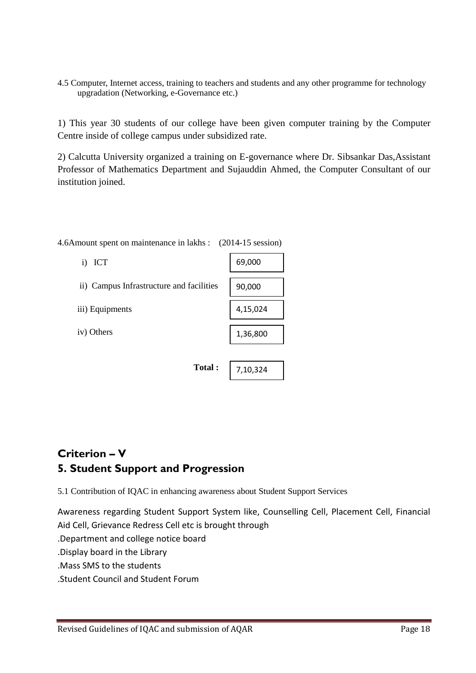4.5 Computer, Internet access, training to teachers and students and any other programme for technology upgradation (Networking, e-Governance etc.)

1) This year 30 students of our college have been given computer training by the Computer Centre inside of college campus under subsidized rate.

2) Calcutta University organized a training on E-governance where Dr. Sibsankar Das,Assistant Professor of Mathematics Department and Sujauddin Ahmed, the Computer Consultant of our institution joined.

| i) ICT                                   | 69,000   |
|------------------------------------------|----------|
| ii) Campus Infrastructure and facilities | 90,000   |
| iii) Equipments                          | 4,15,024 |
| iv) Others                               | 1,36,800 |
|                                          |          |
| Total:                                   | 7,10,324 |

4.6Amount spent on maintenance in lakhs : (2014-15 session)

# **Criterion – V 5. Student Support and Progression**

5.1 Contribution of IQAC in enhancing awareness about Student Support Services

Awareness regarding Student Support System like, Counselling Cell, Placement Cell, Financial Aid Cell, Grievance Redress Cell etc is brought through

.Department and college notice board

.Display board in the Library

.Mass SMS to the students

.Student Council and Student Forum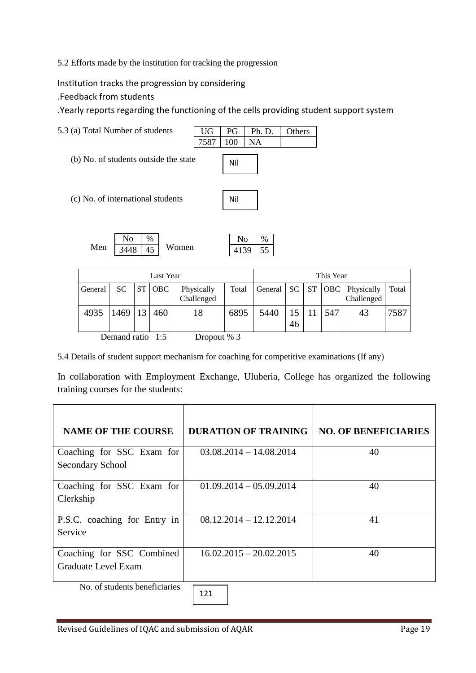5.2 Efforts made by the institution for tracking the progression

Institution tracks the progression by considering

.Feedback from students

.Yearly reports regarding the functioning of the cells providing student support system



| Last Year |                   |  |        |                          | This Year |      |    |  |     |                                                    |       |
|-----------|-------------------|--|--------|--------------------------|-----------|------|----|--|-----|----------------------------------------------------|-------|
| General   | SC.               |  | ST OBC | Physically<br>Challenged | Total     |      |    |  |     | General   SC   ST   OBC   Physically<br>Challenged | Total |
| 4935      | $1469$   13   460 |  |        | 18                       | 6895      | 5440 | 46 |  | 547 | 43                                                 | 7587  |

Demand ratio 1:5 Dropout % 3

5.4 Details of student support mechanism for coaching for competitive examinations (If any)

In collaboration with Employment Exchange, Uluberia, College has organized the following training courses for the students:

| <b>NAME OF THE COURSE</b>                                                              | <b>DURATION OF TRAINING</b> | <b>NO. OF BENEFICIARIES</b> |
|----------------------------------------------------------------------------------------|-----------------------------|-----------------------------|
| Coaching for SSC Exam for                                                              | $03.08.2014 - 14.08.2014$   | 40                          |
| <b>Secondary School</b>                                                                |                             |                             |
| Coaching for SSC Exam for                                                              | $01.09.2014 - 05.09.2014$   | 40                          |
| Clerkship                                                                              |                             |                             |
| P.S.C. coaching for Entry in                                                           | $08.12.2014 - 12.12.2014$   | 41                          |
| Service                                                                                |                             |                             |
| Coaching for SSC Combined                                                              | $16.02.2015 - 20.02.2015$   | 40                          |
| Graduate Level Exam<br>$\mathbf{v}$ and $\mathbf{v}$ and $\mathbf{v}$ and $\mathbf{v}$ |                             |                             |

No. of students beneficiaries

121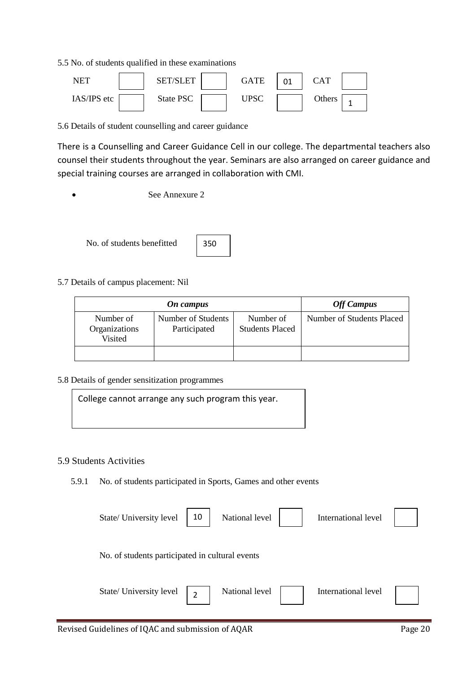5.5 No. of students qualified in these examinations



5.6 Details of student counselling and career guidance

There is a Counselling and Career Guidance Cell in our college. The departmental teachers also counsel their students throughout the year. Seminars are also arranged on career guidance and special training courses are arranged in collaboration with CMI.

See Annexure 2

No. of students benefitted



5.7 Details of campus placement: Nil

| On campus                             |                                    |                                     | <b>Off Campus</b>         |
|---------------------------------------|------------------------------------|-------------------------------------|---------------------------|
| Number of<br>Organizations<br>Visited | Number of Students<br>Participated | Number of<br><b>Students Placed</b> | Number of Students Placed |
|                                       |                                    |                                     |                           |

5.8 Details of gender sensitization programmes

College cannot arrange any such program this year.

#### 5.9 Students Activities

5.9.1 No. of students participated in Sports, Games and other events

| State/ University level                         | 10 | National level | International level |  |
|-------------------------------------------------|----|----------------|---------------------|--|
| No. of students participated in cultural events |    |                |                     |  |
| State/ University level                         | 2  | National level | International level |  |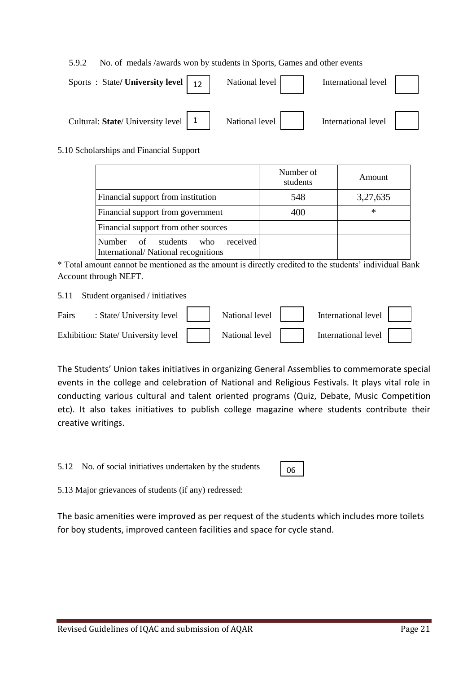#### 5.9.2 No. of medals /awards won by students in Sports, Games and other events

| Sports: State/University level   12   | National level | International level |  |
|---------------------------------------|----------------|---------------------|--|
| Cultural: State/ University level   1 | National level | International level |  |

#### 5.10 Scholarships and Financial Support

|                                                                                        | Number of<br>students | Amount   |
|----------------------------------------------------------------------------------------|-----------------------|----------|
| Financial support from institution                                                     | 548                   | 3,27,635 |
| Financial support from government                                                      | 400                   | $\ast$   |
| Financial support from other sources                                                   |                       |          |
| received<br><b>Number</b><br>of students<br>who<br>International/National recognitions |                       |          |

\* Total amount cannot be mentioned as the amount is directly credited to the students' individual Bank Account through NEFT.

5.11 Student organised / initiatives

| Fairs | : State/University level $\vert$    | National level | International level |  |
|-------|-------------------------------------|----------------|---------------------|--|
|       | Exhibition: State/ University level | National level | International level |  |

The Students' Union takes initiatives in organizing General Assemblies to commemorate special events in the college and celebration of National and Religious Festivals. It plays vital role in conducting various cultural and talent oriented programs (Quiz, Debate, Music Competition etc). It also takes initiatives to publish college magazine where students contribute their creative writings.

5.12 No. of social initiatives undertaken by the students

06

5.13 Major grievances of students (if any) redressed:

The basic amenities were improved as per request of the students which includes more toilets for boy students, improved canteen facilities and space for cycle stand.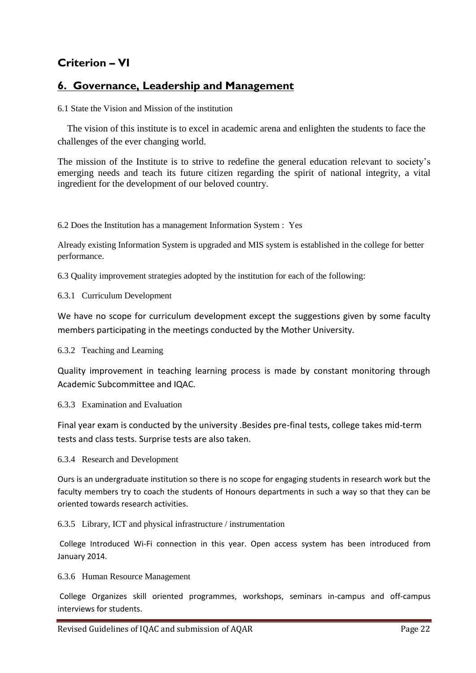# **Criterion – VI**

# **6. Governance, Leadership and Management**

6.1 State the Vision and Mission of the institution

 The vision of this institute is to excel in academic arena and enlighten the students to face the challenges of the ever changing world.

The mission of the Institute is to strive to redefine the general education relevant to society's emerging needs and teach its future citizen regarding the spirit of national integrity, a vital ingredient for the development of our beloved country.

6.2 Does the Institution has a management Information System : Yes

Already existing Information System is upgraded and MIS system is established in the college for better performance.

6.3 Quality improvement strategies adopted by the institution for each of the following:

6.3.1 Curriculum Development

We have no scope for curriculum development except the suggestions given by some faculty members participating in the meetings conducted by the Mother University.

6.3.2 Teaching and Learning

Quality improvement in teaching learning process is made by constant monitoring through Academic Subcommittee and IQAC.

6.3.3 Examination and Evaluation

Final year exam is conducted by the university .Besides pre-final tests, college takes mid-term tests and class tests. Surprise tests are also taken.

6.3.4 Research and Development

Ours is an undergraduate institution so there is no scope for engaging students in research work but the faculty members try to coach the students of Honours departments in such a way so that they can be oriented towards research activities.

6.3.5 Library, ICT and physical infrastructure / instrumentation

College Introduced Wi-Fi connection in this year. Open access system has been introduced from January 2014.

6.3.6 Human Resource Management

College Organizes skill oriented programmes, workshops, seminars in-campus and off-campus interviews for students.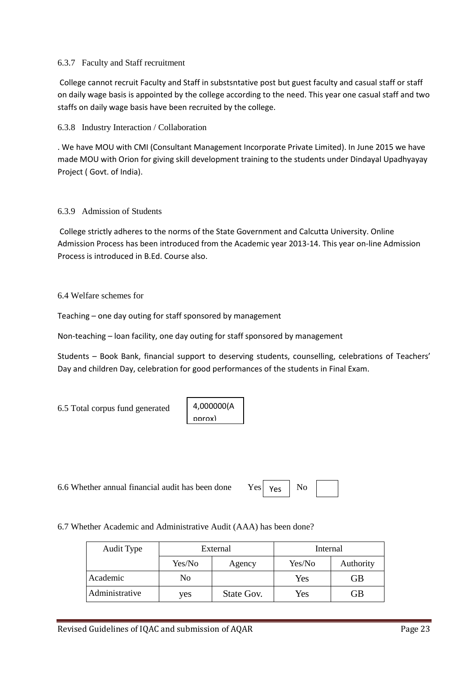#### 6.3.7 Faculty and Staff recruitment

College cannot recruit Faculty and Staff in substsntative post but guest faculty and casual staff or staff on daily wage basis is appointed by the college according to the need. This year one casual staff and two staffs on daily wage basis have been recruited by the college.

6.3.8 Industry Interaction / Collaboration

. We have MOU with CMI (Consultant Management Incorporate Private Limited). In June 2015 we have made MOU with Orion for giving skill development training to the students under Dindayal Upadhyayay Project ( Govt. of India).

#### 6.3.9 Admission of Students

College strictly adheres to the norms of the State Government and Calcutta University. Online Admission Process has been introduced from the Academic year 2013-14. This year on-line Admission Process is introduced in B.Ed. Course also.

#### 6.4 Welfare schemes for

Teaching – one day outing for staff sponsored by management

Non-teaching – loan facility, one day outing for staff sponsored by management

Students – Book Bank, financial support to deserving students, counselling, celebrations of Teachers' Day and children Day, celebration for good performances of the students in Final Exam.

6.5 Total corpus fund generated

4,000000(A pprox)

6.6 Whether annual financial audit has been done Yes  $\vert$  Yes  $\vert$  No

Yes

6.7 Whether Academic and Administrative Audit (AAA) has been done?

| Audit Type     | External |            | Internal |           |
|----------------|----------|------------|----------|-----------|
|                | Yes/No   | Agency     | Yes/No   | Authority |
| Academic       | No       |            | Yes      | GВ        |
| Administrative | ves      | State Gov. | Yes      | GВ        |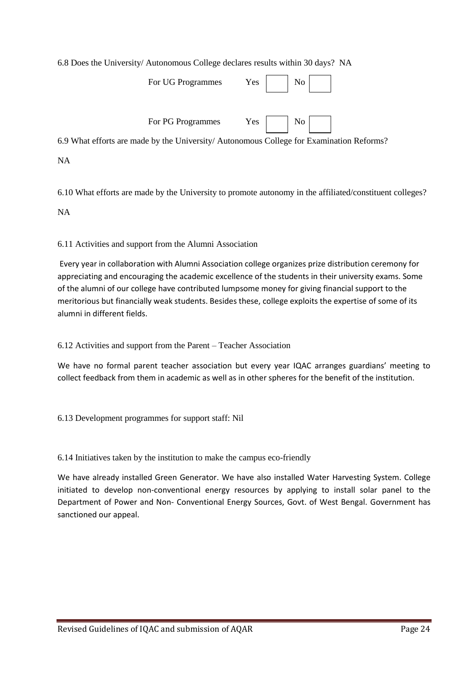6.8 Does the University/ Autonomous College declares results within 30 days? NA

|            | For UG Programmes | $Yes \mid No \mid$                                                                      |  |
|------------|-------------------|-----------------------------------------------------------------------------------------|--|
|            | For PG Programmes | Yes No                                                                                  |  |
|            |                   | 6.9 What efforts are made by the University/Autonomous College for Examination Reforms? |  |
| <b>RTA</b> |                   |                                                                                         |  |

6.10 What efforts are made by the University to promote autonomy in the affiliated/constituent colleges?

NA

NA

#### 6.11 Activities and support from the Alumni Association

Every year in collaboration with Alumni Association college organizes prize distribution ceremony for appreciating and encouraging the academic excellence of the students in their university exams. Some of the alumni of our college have contributed lumpsome money for giving financial support to the meritorious but financially weak students. Besides these, college exploits the expertise of some of its alumni in different fields.

6.12 Activities and support from the Parent – Teacher Association

We have no formal parent teacher association but every year IQAC arranges guardians' meeting to collect feedback from them in academic as well as in other spheres for the benefit of the institution.

6.13 Development programmes for support staff: Nil

6.14 Initiatives taken by the institution to make the campus eco-friendly

We have already installed Green Generator. We have also installed Water Harvesting System. College initiated to develop non-conventional energy resources by applying to install solar panel to the Department of Power and Non- Conventional Energy Sources, Govt. of West Bengal. Government has sanctioned our appeal.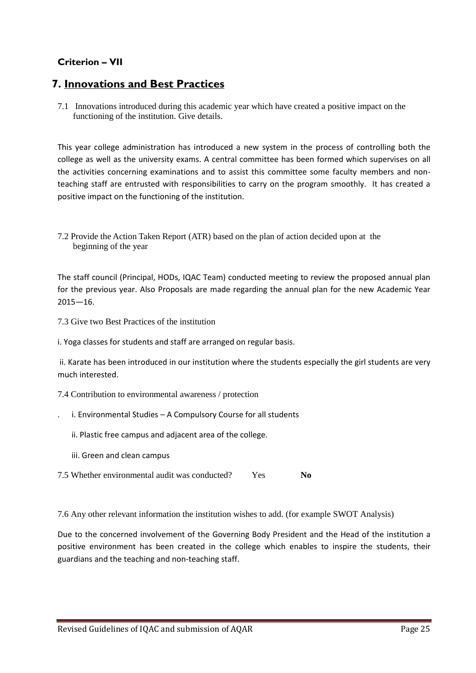# **Criterion – VII**

# **7. Innovations and Best Practices**

7.1 Innovations introduced during this academic year which have created a positive impact on the functioning of the institution. Give details.

This year college administration has introduced a new system in the process of controlling both the college as well as the university exams. A central committee has been formed which supervises on all the activities concerning examinations and to assist this committee some faculty members and nonteaching staff are entrusted with responsibilities to carry on the program smoothly. It has created a positive impact on the functioning of the institution.

7.2 Provide the Action Taken Report (ATR) based on the plan of action decided upon at the beginning of the year

The staff council (Principal, HODs, IQAC Team) conducted meeting to review the proposed annual plan for the previous year. Also Proposals are made regarding the annual plan for the new Academic Year 2015—16.

7.3 Give two Best Practices of the institution

i. Yoga classes for students and staff are arranged on regular basis.

ii. Karate has been introduced in our institution where the students especially the girl students are very much interested.

7.4 Contribution to environmental awareness / protection

- i. Environmental Studies A Compulsory Course for all students
	- ii. Plastic free campus and adjacent area of the college.
	- iii. Green and clean campus
- 7.5 Whether environmental audit was conducted? Yes **No**

7.6 Any other relevant information the institution wishes to add. (for example SWOT Analysis)

Due to the concerned involvement of the Governing Body President and the Head of the institution a positive environment has been created in the college which enables to inspire the students, their guardians and the teaching and non-teaching staff.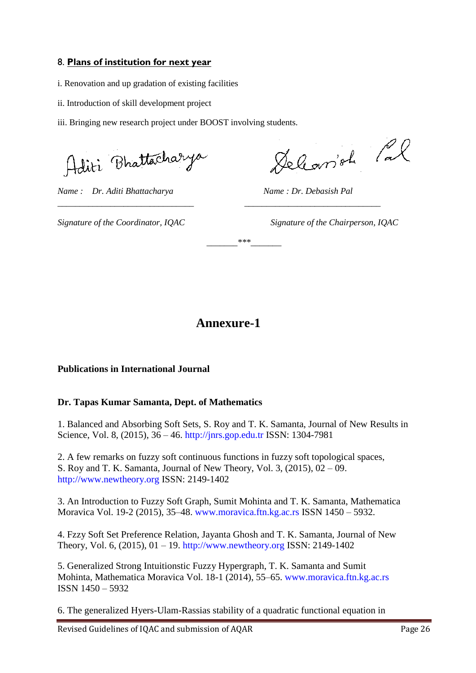# 8. **Plans of institution for next year**

- i. Renovation and up gradation of existing facilities
- ii. Introduction of skill development project

iii. Bringing new research project under BOOST involving students.

Aditi Bhattacharya

*Name* : Dr. Aditi Bhattacharya Mame : Dr. Debasish Pal

Delemont Cal

*Signature of the Coordinator, IQAC Signature of the Chairperson, IQAC*

# **Annexure-1**

*\_\_\_\_\_\_\_\_\_\_\_\_\_\_\_\_\_\_\_\_\_\_\_\_\_\_\_\_\_\_\_ \_\_\_\_\_\_\_\_\_\_\_\_\_\_\_\_\_\_\_\_\_\_\_\_\_\_\_\_\_\_\_* 

*\_\_\_\_\_\_\_\*\*\*\_\_\_\_\_\_\_*

# **Publications in International Journal**

# **Dr. Tapas Kumar Samanta, Dept. of Mathematics**

1. Balanced and Absorbing Soft Sets, S. Roy and T. K. Samanta, Journal of New Results in Science, Vol. 8, (2015), 36 – 46. http://jnrs.gop.edu.tr ISSN: 1304-7981

2. A few remarks on fuzzy soft continuous functions in fuzzy soft topological spaces, S. Roy and T. K. Samanta, Journal of New Theory, Vol. 3, (2015), 02 – 09. http://www.newtheory.org ISSN: 2149-1402

3. An Introduction to Fuzzy Soft Graph, Sumit Mohinta and T. K. Samanta, Mathematica Moravica Vol. 19-2 (2015), 35–48. www.moravica.ftn.kg.ac.rs ISSN 1450 – 5932.

4. Fzzy Soft Set Preference Relation, Jayanta Ghosh and T. K. Samanta, Journal of New Theory, Vol. 6, (2015), 01 – 19. http://www.newtheory.org ISSN: 2149-1402

5. Generalized Strong Intuitionstic Fuzzy Hypergraph, T. K. Samanta and Sumit Mohinta, Mathematica Moravica Vol. 18-1 (2014), 55–65. www.moravica.ftn.kg.ac.rs ISSN 1450 – 5932

6. The generalized Hyers-Ulam-Rassias stability of a quadratic functional equation in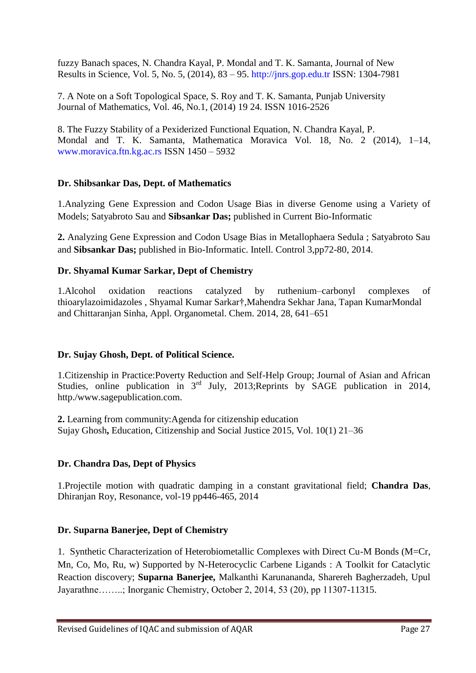fuzzy Banach spaces, N. Chandra Kayal, P. Mondal and T. K. Samanta, Journal of New Results in Science, Vol. 5, No. 5, (2014), 83 – 95. http://jnrs.gop.edu.tr ISSN: 1304-7981

7. A Note on a Soft Topological Space, S. Roy and T. K. Samanta, Punjab University Journal of Mathematics, Vol. 46, No.1, (2014) 19 24. ISSN 1016-2526

8. The Fuzzy Stability of a Pexiderized Functional Equation, N. Chandra Kayal, P. Mondal and T. K. Samanta, Mathematica Moravica Vol. 18, No. 2 (2014), 1–14, www.moravica.ftn.kg.ac.rs ISSN 1450 – 5932

# **Dr. Shibsankar Das, Dept. of Mathematics**

1.Analyzing Gene Expression and Codon Usage Bias in diverse Genome using a Variety of Models; Satyabroto Sau and **Sibsankar Das;** published in Current Bio-Informatic

**2.** Analyzing Gene Expression and Codon Usage Bias in Metallophaera Sedula ; Satyabroto Sau and **Sibsankar Das;** published in Bio-Informatic. Intell. Control 3,pp72-80, 2014.

# **Dr. Shyamal Kumar Sarkar, Dept of Chemistry**

1.Alcohol oxidation reactions catalyzed by ruthenium–carbonyl complexes of thioarylazoimidazoles , Shyamal Kumar Sarkar†,Mahendra Sekhar Jana, Tapan KumarMondal and Chittaranjan Sinha, Appl. Organometal. Chem. 2014, 28, 641–651

# **Dr. Sujay Ghosh, Dept. of Political Science.**

1.Citizenship in Practice:Poverty Reduction and Self-Help Group; Journal of Asian and African Studies, online publication in  $3<sup>rd</sup>$  July, 2013;Reprints by SAGE publication in 2014, http./www.sagepublication.com.

**2.** Learning from community:Agenda for citizenship education Sujay Ghosh**,** Education, Citizenship and Social Justice 2015, Vol. 10(1) 21–36

# **Dr. Chandra Das, Dept of Physics**

1.Projectile motion with quadratic damping in a constant gravitational field; **Chandra Das**, Dhiranjan Roy, Resonance, vol-19 pp446-465, 2014

# **Dr. Suparna Banerjee, Dept of Chemistry**

1. Synthetic Characterization of Heterobiometallic Complexes with Direct Cu-M Bonds (M=Cr, Mn, Co, Mo, Ru, w) Supported by N-Heterocyclic Carbene Ligands : A Toolkit for Cataclytic Reaction discovery; **Suparna Banerjee,** Malkanthi Karunananda, Sharereh Bagherzadeh, Upul Jayarathne……..; Inorganic Chemistry, October 2, 2014, 53 (20), pp 11307-11315.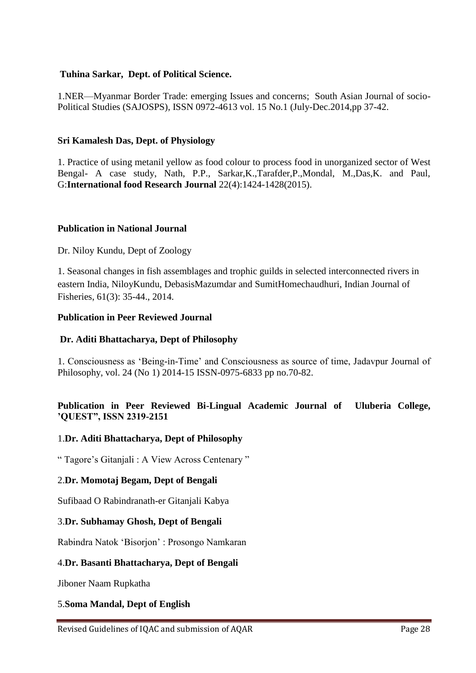#### **Tuhina Sarkar, Dept. of Political Science.**

1.NER—Myanmar Border Trade: emerging Issues and concerns; South Asian Journal of socio-Political Studies (SAJOSPS), ISSN 0972-4613 vol. 15 No.1 (July-Dec.2014,pp 37-42.

#### **Sri Kamalesh Das, Dept. of Physiology**

1. Practice of using metanil yellow as food colour to process food in unorganized sector of West Bengal- A case study, Nath, P.P., Sarkar,K.,Tarafder,P.,Mondal, M.,Das,K. and Paul, G:**International food Research Journal** 22(4):1424-1428(2015).

#### **Publication in National Journal**

#### Dr. Niloy Kundu, Dept of Zoology

1. Seasonal changes in fish assemblages and trophic guilds in selected interconnected rivers in eastern India, NiloyKundu, DebasisMazumdar and SumitHomechaudhuri, Indian Journal of Fisheries, 61(3): 35-44., 2014.

#### **Publication in Peer Reviewed Journal**

#### **Dr. Aditi Bhattacharya, Dept of Philosophy**

1. Consciousness as ‗Being-in-Time' and Consciousness as source of time, Jadavpur Journal of Philosophy, vol. 24 (No 1) 2014-15 ISSN-0975-6833 pp no.70-82.

# **Publication in Peer Reviewed Bi-Lingual Academic Journal of Uluberia College, "QUEST", ISSN 2319-2151**

#### 1.**Dr. Aditi Bhattacharya, Dept of Philosophy**

" Tagore's Gitaniali : A View Across Centenary"

#### 2.**Dr. Momotaj Begam, Dept of Bengali**

Sufibaad O Rabindranath-er Gitanjali Kabya

#### 3.**Dr. Subhamay Ghosh, Dept of Bengali**

Rabindra Natok ‗Bisorjon' : Prosongo Namkaran

#### 4.**Dr. Basanti Bhattacharya, Dept of Bengali**

Jiboner Naam Rupkatha

#### 5.**Soma Mandal, Dept of English**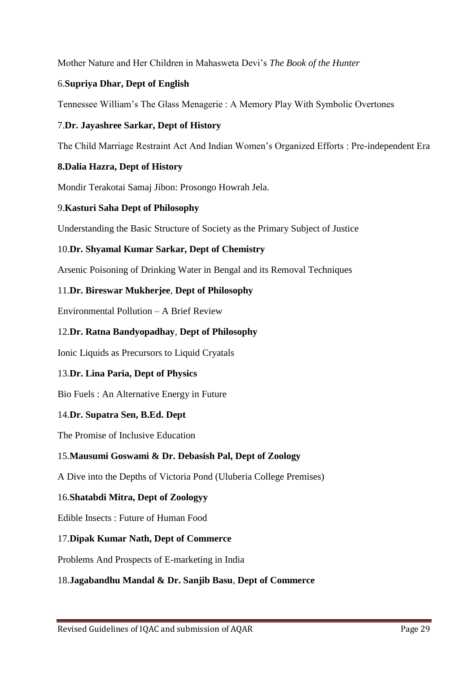Mother Nature and Her Children in Mahasweta Devi's *The Book of the Hunter*

# 6.**Supriya Dhar, Dept of English**

Tennessee William's The Glass Menagerie : A Memory Play With Symbolic Overtones

# 7.**Dr. Jayashree Sarkar, Dept of History**

The Child Marriage Restraint Act And Indian Women's Organized Efforts : Pre-independent Era

# **8.Dalia Hazra, Dept of History**

Mondir Terakotai Samaj Jibon: Prosongo Howrah Jela.

# 9.**Kasturi Saha Dept of Philosophy**

Understanding the Basic Structure of Society as the Primary Subject of Justice

# 10.**Dr. Shyamal Kumar Sarkar, Dept of Chemistry**

Arsenic Poisoning of Drinking Water in Bengal and its Removal Techniques

# 11.**Dr. Bireswar Mukherjee**, **Dept of Philosophy**

Environmental Pollution – A Brief Review

# 12.**Dr. Ratna Bandyopadhay**, **Dept of Philosophy**

Ionic Liquids as Precursors to Liquid Cryatals

# 13.**Dr. Lina Paria, Dept of Physics**

Bio Fuels : An Alternative Energy in Future

# 14.**Dr. Supatra Sen, B.Ed. Dept**

The Promise of Inclusive Education

# 15.**Mausumi Goswami & Dr. Debasish Pal, Dept of Zoology**

A Dive into the Depths of Victoria Pond (Uluberia College Premises)

# 16.**Shatabdi Mitra, Dept of Zoologyy**

Edible Insects : Future of Human Food

# 17.**Dipak Kumar Nath, Dept of Commerce**

Problems And Prospects of E-marketing in India

# 18.**Jagabandhu Mandal & Dr. Sanjib Basu**, **Dept of Commerce**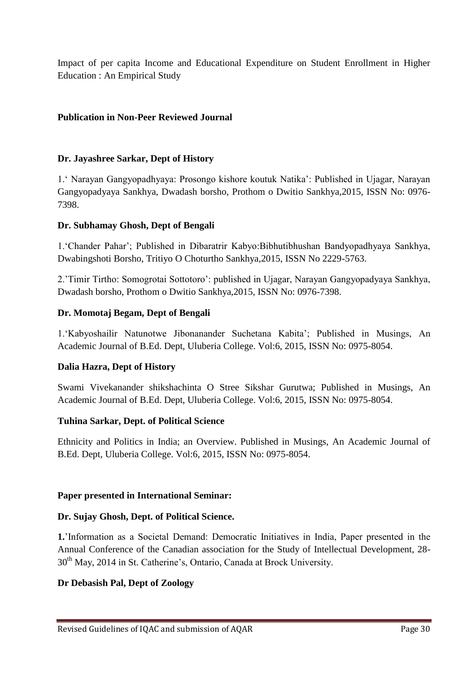Impact of per capita Income and Educational Expenditure on Student Enrollment in Higher Education : An Empirical Study

# **Publication in Non-Peer Reviewed Journal**

# **Dr. Jayashree Sarkar, Dept of History**

1.‗ Narayan Gangyopadhyaya: Prosongo kishore koutuk Natika': Published in Ujagar, Narayan Gangyopadyaya Sankhya, Dwadash borsho, Prothom o Dwitio Sankhya,2015, ISSN No: 0976- 7398.

# **Dr. Subhamay Ghosh, Dept of Bengali**

1.‗Chander Pahar'; Published in Dibaratrir Kabyo:Bibhutibhushan Bandyopadhyaya Sankhya, Dwabingshoti Borsho, Tritiyo O Choturtho Sankhya,2015, ISSN No 2229-5763.

2.'Timir Tirtho: Somogrotai Sottotoro': published in Ujagar, Narayan Gangyopadyaya Sankhya, Dwadash borsho, Prothom o Dwitio Sankhya,2015, ISSN No: 0976-7398.

# **Dr. Momotaj Begam, Dept of Bengali**

1.‗Kabyoshailir Natunotwe Jibonanander Suchetana Kabita'; Published in Musings, An Academic Journal of B.Ed. Dept, Uluberia College. Vol:6, 2015, ISSN No: 0975-8054.

# **Dalia Hazra, Dept of History**

Swami Vivekanander shikshachinta O Stree Sikshar Gurutwa; Published in Musings, An Academic Journal of B.Ed. Dept, Uluberia College. Vol:6, 2015, ISSN No: 0975-8054.

# **Tuhina Sarkar, Dept. of Political Science**

Ethnicity and Politics in India; an Overview. Published in Musings, An Academic Journal of B.Ed. Dept, Uluberia College. Vol:6, 2015, ISSN No: 0975-8054.

# **Paper presented in International Seminar:**

# **Dr. Sujay Ghosh, Dept. of Political Science.**

**1.**'Information as a Societal Demand: Democratic Initiatives in India, Paper presented in the Annual Conference of the Canadian association for the Study of Intellectual Development, 28- 30<sup>th</sup> May, 2014 in St. Catherine's, Ontario, Canada at Brock University.

# **Dr Debasish Pal, Dept of Zoology**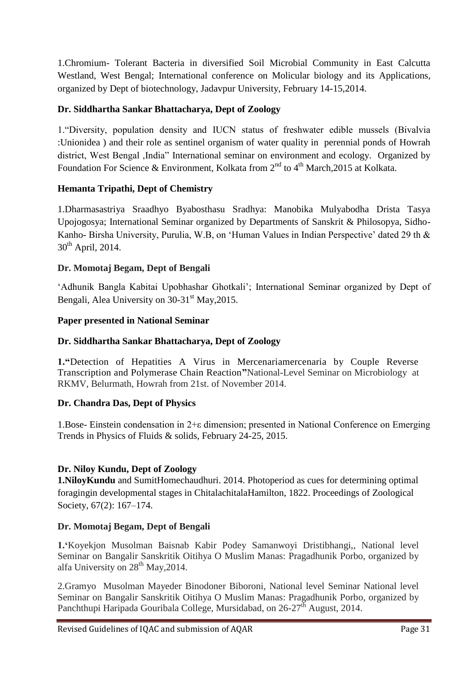1.Chromium- Tolerant Bacteria in diversified Soil Microbial Community in East Calcutta Westland, West Bengal; International conference on Molicular biology and its Applications, organized by Dept of biotechnology, Jadavpur University, February 14-15,2014.

# **Dr. Siddhartha Sankar Bhattacharya, Dept of Zoology**

1. "Diversity, population density and IUCN status of freshwater edible mussels (Bivalvia) :Unionidea ) and their role as sentinel organism of water quality in perennial ponds of Howrah district, West Bengal , India" International seminar on environment and ecology. Organized by Foundation For Science & Environment, Kolkata from  $2^{nd}$  to  $4^{th}$  March, 2015 at Kolkata.

# **Hemanta Tripathi, Dept of Chemistry**

1.Dharmasastriya Sraadhyo Byabosthasu Sradhya: Manobika Mulyabodha Drista Tasya Upojogosya; International Seminar organized by Departments of Sanskrit & Philosopya, Sidho-Kanho- Birsha University, Purulia, W.B, on 'Human Values in Indian Perspective' dated 29 th &  $30<sup>th</sup>$  April, 2014.

# **Dr. Momotaj Begam, Dept of Bengali**

‗Adhunik Bangla Kabitai Upobhashar Ghotkali'; International Seminar organized by Dept of Bengali, Alea University on  $30-31$ <sup>st</sup> May, 2015.

# **Paper presented in National Seminar**

# **Dr. Siddhartha Sankar Bhattacharya, Dept of Zoology**

**1."**Detection of Hepatities A Virus in Mercenariamercenaria by Couple Reverse Transcription and Polymerase Chain Reaction**"**National-Level Seminar on Microbiology at RKMV, Belurmath, Howrah from 21st. of November 2014.

# **Dr. Chandra Das, Dept of Physics**

1.Bose- Einstein condensation in 2+ε dimension; presented in National Conference on Emerging Trends in Physics of Fluids & solids, February 24-25, 2015.

# **Dr. Niloy Kundu, Dept of Zoology**

**1.NiloyKundu** and SumitHomechaudhuri. 2014. Photoperiod as cues for determining optimal foragingin developmental stages in ChitalachitalaHamilton, 1822. Proceedings of Zoological Society, 67(2): 167–174.

# **Dr. Momotaj Begam, Dept of Bengali**

**1."**Koyekjon Musolman Baisnab Kabir Podey Samanwoyi Dristibhangi,, National level Seminar on Bangalir Sanskritik Oitihya O Muslim Manas: Pragadhunik Porbo, organized by alfa University on  $28<sup>th</sup>$  May, 2014.

2.Gramyo Musolman Mayeder Binodoner Biboroni, National level Seminar National level Seminar on Bangalir Sanskritik Oitihya O Muslim Manas: Pragadhunik Porbo, organized by Panchthupi Haripada Gouribala College, Mursidabad, on 26-27<sup>th</sup> August, 2014.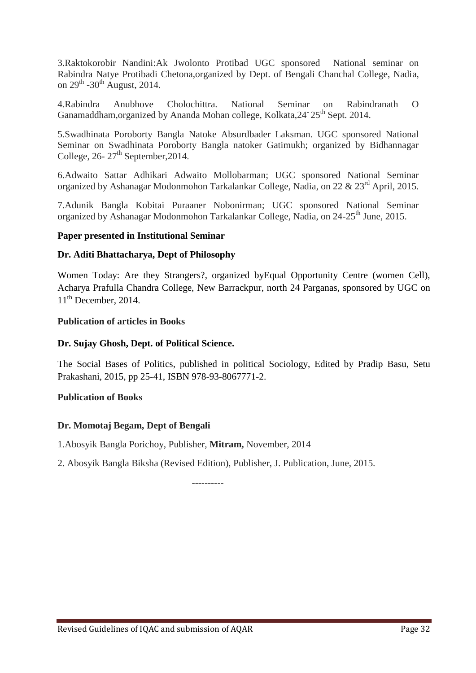3.Raktokorobir Nandini:Ak Jwolonto Protibad UGC sponsored National seminar on Rabindra Natye Protibadi Chetona,organized by Dept. of Bengali Chanchal College, Nadia, on  $29^{\text{th}}$  -30<sup>th</sup> August, 2014.

4.Rabindra Anubhove Cholochittra. National Seminar on Rabindranath O Ganamaddham, organized by Ananda Mohan college, Kolkata, 24<sup>-</sup> 25<sup>th</sup> Sept. 2014.

5.Swadhinata Poroborty Bangla Natoke Absurdbader Laksman. UGC sponsored National Seminar on Swadhinata Poroborty Bangla natoker Gatimukh; organized by Bidhannagar College,  $26 - 27$ <sup>th</sup> September, 2014.

6.Adwaito Sattar Adhikari Adwaito Mollobarman; UGC sponsored National Seminar organized by Ashanagar Modonmohon Tarkalankar College, Nadia, on 22 & 23<sup>rd</sup> April, 2015.

7.Adunik Bangla Kobitai Puraaner Nobonirman; UGC sponsored National Seminar organized by Ashanagar Modonmohon Tarkalankar College, Nadia, on 24-25<sup>th</sup> June, 2015.

# **Paper presented in Institutional Seminar**

#### **Dr. Aditi Bhattacharya, Dept of Philosophy**

Women Today: Are they Strangers?, organized byEqual Opportunity Centre (women Cell), Acharya Prafulla Chandra College, New Barrackpur, north 24 Parganas, sponsored by UGC on  $11<sup>th</sup>$  December, 2014.

#### **Publication of articles in Books**

#### **Dr. Sujay Ghosh, Dept. of Political Science.**

The Social Bases of Politics, published in political Sociology, Edited by Pradip Basu, Setu Prakashani, 2015, pp 25-41, ISBN 978-93-8067771-2.

#### **Publication of Books**

#### **Dr. Momotaj Begam, Dept of Bengali**

1.Abosyik Bangla Porichoy, Publisher, **Mitram,** November, 2014

2. Abosyik Bangla Biksha (Revised Edition), Publisher, J. Publication, June, 2015.

 **----------**